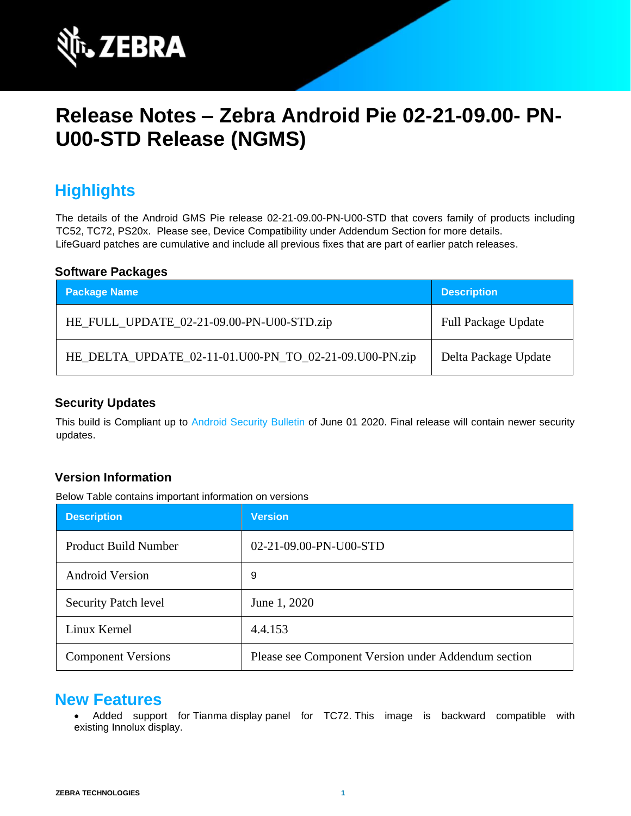

# **Release Notes – Zebra Android Pie 02-21-09.00- PN-U00-STD Release (NGMS)**

# **Highlights**

The details of the Android GMS Pie release 02-21-09.00-PN-U00-STD that covers family of products including TC52, TC72, PS20x. Please see, Device Compatibility under Addendum Section for more details. LifeGuard patches are cumulative and include all previous fixes that are part of earlier patch releases.

#### **Software Packages**

| <b>Package Name</b>                                    | <b>Description</b>         |
|--------------------------------------------------------|----------------------------|
| HE_FULL_UPDATE_02-21-09.00-PN-U00-STD.zip              | <b>Full Package Update</b> |
| HE_DELTA_UPDATE_02-11-01.U00-PN_TO_02-21-09.U00-PN.zip | Delta Package Update       |

### **Security Updates**

This build is Compliant up to [Android Security Bulletin](https://source.android.com/security/bulletin/) [o](https://source.android.com/security/bulletin/)f June 01 2020. Final release will contain newer security updates.

#### **Version Information**

Below Table contains important information on versions

| <b>Description</b>          | <b>Version</b>                                      |
|-----------------------------|-----------------------------------------------------|
| <b>Product Build Number</b> | 02-21-09.00-PN-U00-STD                              |
| <b>Android Version</b>      | 9                                                   |
| <b>Security Patch level</b> | June 1, 2020                                        |
| Linux Kernel                | 4.4.153                                             |
| <b>Component Versions</b>   | Please see Component Version under Addendum section |

### **New Features**

• Added support for Tianma display panel for TC72. This image is backward compatible with existing Innolux display.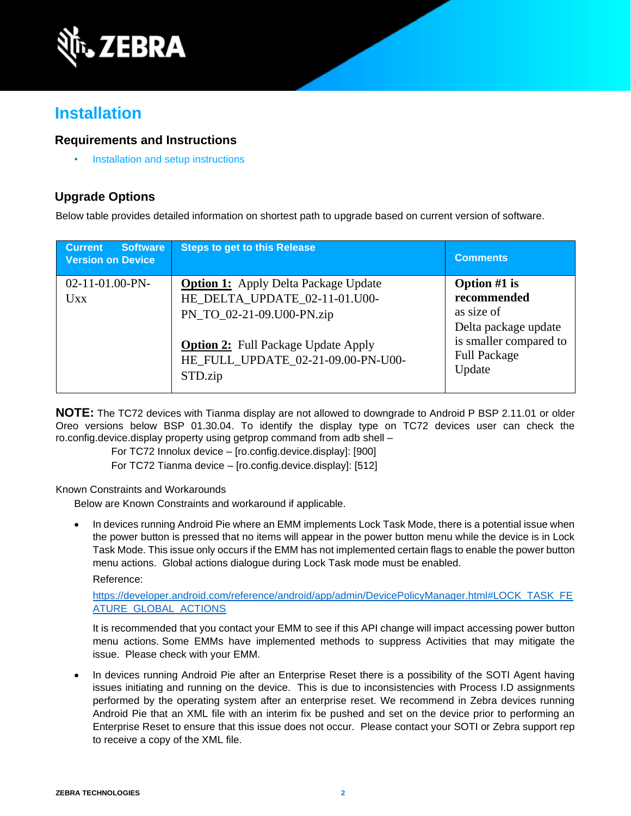

## **Installation**

### **Requirements and Instructions**

• [Installation and setup instructions](https://www.zebra.com/content/dam/zebra_new_ia/en-us/software/operating-system/helios/oreo-os-update-instructions.pdf)

### **Upgrade Options**

Below table provides detailed information on shortest path to upgrade based on current version of software.

| <b>Software</b><br><b>Current</b><br><b>Version on Device</b> | <b>Steps to get to this Release</b>                                                                                                                                                                      | <b>Comments</b>                                                                                                                |
|---------------------------------------------------------------|----------------------------------------------------------------------------------------------------------------------------------------------------------------------------------------------------------|--------------------------------------------------------------------------------------------------------------------------------|
| 02-11-01.00-PN-<br><b>Uxx</b>                                 | <b>Option 1:</b> Apply Delta Package Update<br>HE_DELTA_UPDATE_02-11-01.U00-<br>PN_TO_02-21-09.U00-PN.zip<br><b>Option 2:</b> Full Package Update Apply<br>HE_FULL_UPDATE_02-21-09.00-PN-U00-<br>STD.zip | Option $#1$ is<br>recommended<br>as size of<br>Delta package update<br>is smaller compared to<br><b>Full Package</b><br>Update |

**NOTE:** The TC72 devices with Tianma display are not allowed to downgrade to Android P BSP 2.11.01 or older Oreo versions below BSP 01.30.04. To identify the display type on TC72 devices user can check the ro.config.device.display property using getprop command from adb shell –

For TC72 Innolux device – [ro.config.device.display]: [900]

For TC72 Tianma device – [ro.config.device.display]: [512]

Known Constraints and Workarounds

Below are Known Constraints and workaround if applicable.

• In devices running Android Pie where an EMM implements Lock Task Mode, there is a potential issue when the power button is pressed that no items will appear in the power button menu while the device is in Lock Task Mode. This issue only occurs if the EMM has not implemented certain flags to enable the power button menu actions. Global actions dialogue during Lock Task mode must be enabled. Reference:

[https://developer.android.com/reference/android/app/admin/DevicePolicyManager.html#LOCK\\_TASK\\_FE](https://developer.android.com/reference/android/app/admin/DevicePolicyManager.html#LOCK_TASK_FEATURE_GLOBAL_ACTIONS) [ATURE\\_GLOBAL\\_ACTIONS](https://developer.android.com/reference/android/app/admin/DevicePolicyManager.html#LOCK_TASK_FEATURE_GLOBAL_ACTIONS)

It is recommended that you contact your EMM to see if this API change will impact accessing power button menu actions. Some EMMs have implemented methods to suppress Activities that may mitigate the issue. Please check with your EMM.

In devices running Android Pie after an Enterprise Reset there is a possibility of the SOTI Agent having issues initiating and running on the device. This is due to inconsistencies with Process I.D assignments performed by the operating system after an enterprise reset. We recommend in Zebra devices running Android Pie that an XML file with an interim fix be pushed and set on the device prior to performing an Enterprise Reset to ensure that this issue does not occur. Please contact your SOTI or Zebra support rep to receive a copy of the XML file.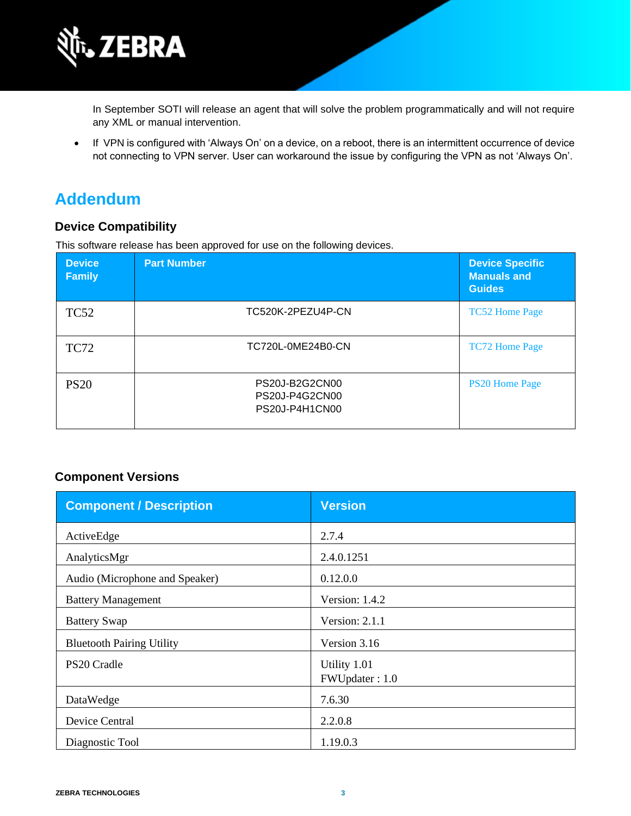

In September SOTI will release an agent that will solve the problem programmatically and will not require any XML or manual intervention.

• If VPN is configured with 'Always On' on a device, on a reboot, there is an intermittent occurrence of device not connecting to VPN server. User can workaround the issue by configuring the VPN as not 'Always On'.

### **Addendum**

### **Device Compatibility**

This software release has been approved for use on the following devices.

| <b>Device</b><br><b>Family</b> | <b>Part Number</b>                                 | <b>Device Specific</b><br><b>Manuals and</b><br><b>Guides</b> |
|--------------------------------|----------------------------------------------------|---------------------------------------------------------------|
| <b>TC52</b>                    | TC520K-2PEZU4P-CN                                  | <b>TC52 Home Page</b>                                         |
| <b>TC72</b>                    | TC720L-0ME24B0-CN                                  | <b>TC72 Home Page</b>                                         |
| <b>PS20</b>                    | PS20J-B2G2CN00<br>PS20J-P4G2CN00<br>PS20J-P4H1CN00 | <b>PS20 Home Page</b>                                         |

### **Component Versions**

| <b>Component / Description</b>   | <b>Version</b>                 |
|----------------------------------|--------------------------------|
| ActiveEdge                       | 2.7.4                          |
| AnalyticsMgr                     | 2.4.0.1251                     |
| Audio (Microphone and Speaker)   | 0.12.0.0                       |
| <b>Battery Management</b>        | Version: 1.4.2                 |
| <b>Battery Swap</b>              | Version: 2.1.1                 |
| <b>Bluetooth Pairing Utility</b> | Version 3.16                   |
| PS20 Cradle                      | Utility 1.01<br>FWUpdater: 1.0 |
| DataWedge                        | 7.6.30                         |
| Device Central                   | 2.2.0.8                        |
| Diagnostic Tool                  | 1.19.0.3                       |